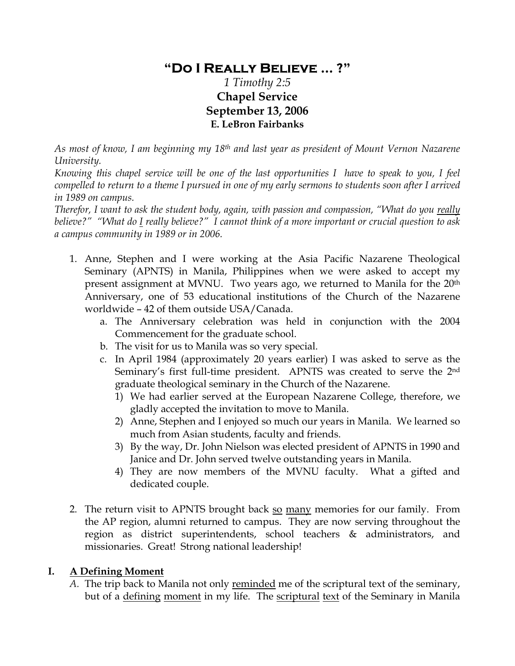# **"Do I Really Believe … ?"**

## *1 Timothy 2:5*  **Chapel Service September 13, 2006 E. LeBron Fairbanks**

*As most of know, I am beginning my 18th and last year as president of Mount Vernon Nazarene University.* 

*Knowing this chapel service will be one of the last opportunities I have to speak to you, I feel compelled to return to a theme I pursued in one of my early sermons to students soon after I arrived in 1989 on campus.* 

*Therefor, I want to ask the student body, again, with passion and compassion, "What do you really believe?" "What do I really believe?" I cannot think of a more important or crucial question to ask a campus community in 1989 or in 2006.* 

- 1. Anne, Stephen and I were working at the Asia Pacific Nazarene Theological Seminary (APNTS) in Manila, Philippines when we were asked to accept my present assignment at MVNU. Two years ago, we returned to Manila for the 20<sup>th</sup> Anniversary, one of 53 educational institutions of the Church of the Nazarene worldwide – 42 of them outside USA/Canada.
	- a. The Anniversary celebration was held in conjunction with the 2004 Commencement for the graduate school.
	- b. The visit for us to Manila was so very special.
	- c. In April 1984 (approximately 20 years earlier) I was asked to serve as the Seminary's first full-time president. APNTS was created to serve the 2nd graduate theological seminary in the Church of the Nazarene.
		- 1) We had earlier served at the European Nazarene College, therefore, we gladly accepted the invitation to move to Manila.
		- 2) Anne, Stephen and I enjoyed so much our years in Manila. We learned so much from Asian students, faculty and friends.
		- 3) By the way, Dr. John Nielson was elected president of APNTS in 1990 and Janice and Dr. John served twelve outstanding years in Manila.
		- 4) They are now members of the MVNU faculty. What a gifted and dedicated couple.
- 2. The return visit to APNTS brought back so many memories for our family. From the AP region, alumni returned to campus. They are now serving throughout the region as district superintendents, school teachers & administrators, and missionaries. Great! Strong national leadership!

#### **I. A Defining Moment**

*A.* The trip back to Manila not only reminded me of the scriptural text of the seminary, but of a defining moment in my life.The scriptural text of the Seminary in Manila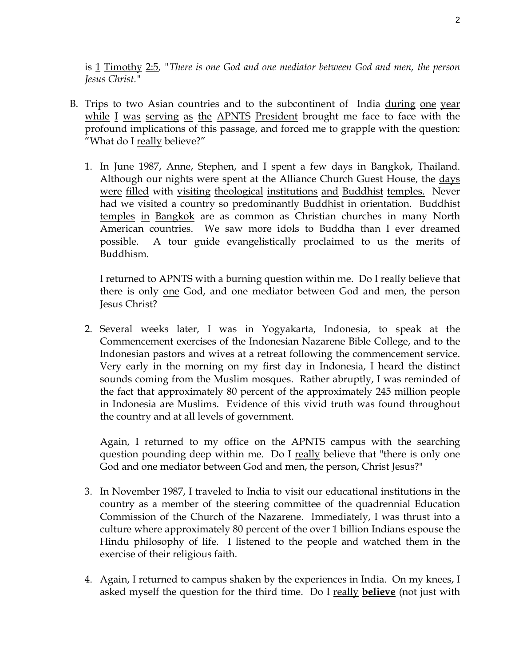is 1 Timothy 2:5, *"There is one God and one mediator between God and men, the person Jesus Christ."* 

- B. Trips to two Asian countries and to the subcontinent of India during one year while I was serving as the APNTS President brought me face to face with the profound implications of this passage, and forced me to grapple with the question: "What do I really believe?"
	- 1. In June 1987, Anne, Stephen, and I spent a few days in Bangkok, Thailand. Although our nights were spent at the Alliance Church Guest House, the days were filled with visiting theological institutions and Buddhist temples. Never had we visited a country so predominantly Buddhist in orientation. Buddhist temples in Bangkok are as common as Christian churches in many North American countries. We saw more idols to Buddha than I ever dreamed possible. A tour guide evangelistically proclaimed to us the merits of Buddhism.

I returned to APNTS with a burning question within me. Do I really believe that there is only one God, and one mediator between God and men, the person Jesus Christ?

2. Several weeks later, I was in Yogyakarta, Indonesia, to speak at the Commencement exercises of the Indonesian Nazarene Bible College, and to the Indonesian pastors and wives at a retreat following the commencement service. Very early in the morning on my first day in Indonesia, I heard the distinct sounds coming from the Muslim mosques. Rather abruptly, I was reminded of the fact that approximately 80 percent of the approximately 245 million people in Indonesia are Muslims. Evidence of this vivid truth was found throughout the country and at all levels of government.

Again, I returned to my office on the APNTS campus with the searching question pounding deep within me. Do I really believe that "there is only one God and one mediator between God and men, the person, Christ Jesus?"

- 3. In November 1987, I traveled to India to visit our educational institutions in the country as a member of the steering committee of the quadrennial Education Commission of the Church of the Nazarene. Immediately, I was thrust into a culture where approximately 80 percent of the over 1 billion Indians espouse the Hindu philosophy of life. I listened to the people and watched them in the exercise of their religious faith.
- 4. Again, I returned to campus shaken by the experiences in India. On my knees, I asked myself the question for the third time. Do I really **believe** (not just with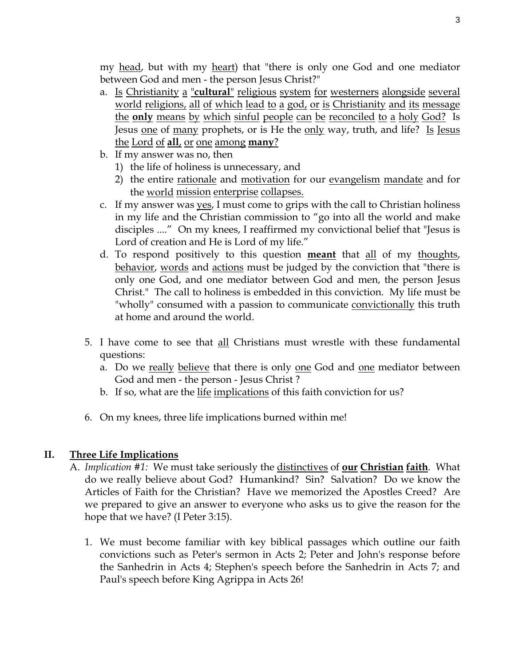my head, but with my heart) that "there is only one God and one mediator between God and men - the person Jesus Christ?"

- a. Is Christianity a "**cultural**" religious system for westerners alongside several world religions, all of which lead to a god, or is Christianity and its message the **only** means by which sinful people can be reconciled to a holy God? Is Jesus one of many prophets, or is He the only way, truth, and life? Is Jesus the Lord of **all**, or one among **many**?
- b. If my answer was no, then
	- 1) the life of holiness is unnecessary, and
	- 2) the entire rationale and motivation for our evangelism mandate and for the world mission enterprise collapses.
- c. If my answer was yes, I must come to grips with the call to Christian holiness in my life and the Christian commission to "go into all the world and make disciples ...." On my knees, I reaffirmed my convictional belief that "Jesus is Lord of creation and He is Lord of my life."
- d. To respond positively to this question **meant** that all of my thoughts, behavior, words and actions must be judged by the conviction that "there is only one God, and one mediator between God and men, the person Jesus Christ." The call to holiness is embedded in this conviction. My life must be "wholly" consumed with a passion to communicate convictionally this truth at home and around the world.
- 5. I have come to see that all Christians must wrestle with these fundamental questions:
	- a. Do we really believe that there is only one God and one mediator between God and men - the person - Jesus Christ ?
	- b. If so, what are the life implications of this faith conviction for us?
- 6. On my knees, three life implications burned within me!

#### **II. Three Life Implications**

- A. *Implication #1:* We must take seriously the distinctives of **our Christian faith**. What do we really believe about God? Humankind? Sin? Salvation? Do we know the Articles of Faith for the Christian? Have we memorized the Apostles Creed? Are we prepared to give an answer to everyone who asks us to give the reason for the hope that we have? (I Peter 3:15).
	- 1. We must become familiar with key biblical passages which outline our faith convictions such as Peter's sermon in Acts 2; Peter and John's response before the Sanhedrin in Acts 4; Stephen's speech before the Sanhedrin in Acts 7; and Paul's speech before King Agrippa in Acts 26!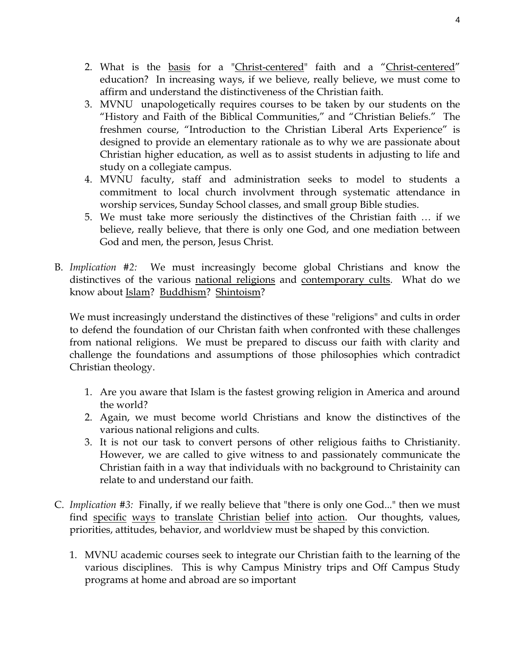- 2. What is the basis for a "Christ-centered" faith and a "Christ-centered" education? In increasing ways, if we believe, really believe, we must come to affirm and understand the distinctiveness of the Christian faith.
- 3. MVNU unapologetically requires courses to be taken by our students on the "History and Faith of the Biblical Communities," and "Christian Beliefs." The freshmen course, "Introduction to the Christian Liberal Arts Experience" is designed to provide an elementary rationale as to why we are passionate about Christian higher education, as well as to assist students in adjusting to life and study on a collegiate campus.
- 4. MVNU faculty, staff and administration seeks to model to students a commitment to local church involvment through systematic attendance in worship services, Sunday School classes, and small group Bible studies.
- 5. We must take more seriously the distinctives of the Christian faith … if we believe, really believe, that there is only one God, and one mediation between God and men, the person, Jesus Christ.
- B. *Implication #2:* We must increasingly become global Christians and know the distinctives of the various national religions and contemporary cults. What do we know about Islam? Buddhism? Shintoism?

We must increasingly understand the distinctives of these "religions" and cults in order to defend the foundation of our Christan faith when confronted with these challenges from national religions. We must be prepared to discuss our faith with clarity and challenge the foundations and assumptions of those philosophies which contradict Christian theology.

- 1. Are you aware that Islam is the fastest growing religion in America and around the world?
- 2. Again, we must become world Christians and know the distinctives of the various national religions and cults.
- 3. It is not our task to convert persons of other religious faiths to Christianity. However, we are called to give witness to and passionately communicate the Christian faith in a way that individuals with no background to Christainity can relate to and understand our faith.
- C. *Implication #3:* Finally, if we really believe that "there is only one God..." then we must find specific ways to translate Christian belief into action. Our thoughts, values, priorities, attitudes, behavior, and worldview must be shaped by this conviction.
	- 1. MVNU academic courses seek to integrate our Christian faith to the learning of the various disciplines. This is why Campus Ministry trips and Off Campus Study programs at home and abroad are so important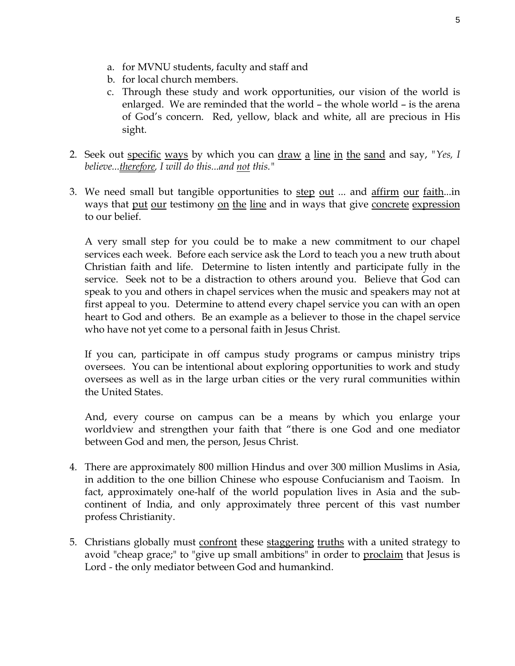- a. for MVNU students, faculty and staff and
- b. for local church members.
- c. Through these study and work opportunities, our vision of the world is enlarged. We are reminded that the world – the whole world – is the arena of God's concern. Red, yellow, black and white, all are precious in His sight.
- 2. Seek out specific ways by which you can draw a line in the sand and say, *"Yes, I believe...therefore, I will do this...and not this."*
- 3. We need small but tangible opportunities to step out ... and affirm our faith...in ways that put our testimony on the line and in ways that give concrete expression to our belief.

A very small step for you could be to make a new commitment to our chapel services each week. Before each service ask the Lord to teach you a new truth about Christian faith and life. Determine to listen intently and participate fully in the service. Seek not to be a distraction to others around you. Believe that God can speak to you and others in chapel services when the music and speakers may not at first appeal to you. Determine to attend every chapel service you can with an open heart to God and others. Be an example as a believer to those in the chapel service who have not yet come to a personal faith in Jesus Christ.

If you can, participate in off campus study programs or campus ministry trips oversees. You can be intentional about exploring opportunities to work and study oversees as well as in the large urban cities or the very rural communities within the United States.

And, every course on campus can be a means by which you enlarge your worldview and strengthen your faith that "there is one God and one mediator between God and men, the person, Jesus Christ.

- 4. There are approximately 800 million Hindus and over 300 million Muslims in Asia, in addition to the one billion Chinese who espouse Confucianism and Taoism. In fact, approximately one-half of the world population lives in Asia and the subcontinent of India, and only approximately three percent of this vast number profess Christianity.
- 5. Christians globally must confront these staggering truths with a united strategy to avoid "cheap grace;" to "give up small ambitions" in order to proclaim that Jesus is Lord - the only mediator between God and humankind.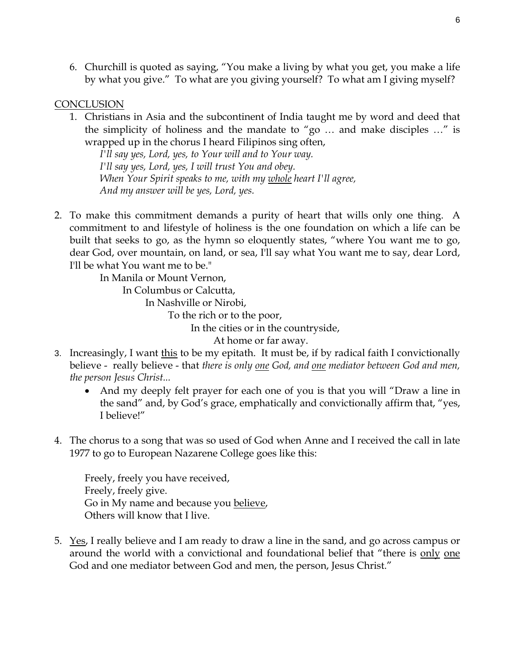6. Churchill is quoted as saying, "You make a living by what you get, you make a life by what you give." To what are you giving yourself? To what am I giving myself?

### **CONCLUSION**

1. Christians in Asia and the subcontinent of India taught me by word and deed that the simplicity of holiness and the mandate to "go … and make disciples …" is wrapped up in the chorus I heard Filipinos sing often,

*I'll say yes, Lord, yes, to Your will and to Your way. I'll say yes, Lord, yes, I will trust You and obey. When Your Spirit speaks to me, with my whole heart I'll agree, And my answer will be yes, Lord, yes.* 

2. To make this commitment demands a purity of heart that wills only one thing. A commitment to and lifestyle of holiness is the one foundation on which a life can be built that seeks to go, as the hymn so eloquently states, "where You want me to go, dear God, over mountain, on land, or sea, I'll say what You want me to say, dear Lord, I'll be what You want me to be."

> In Manila or Mount Vernon, In Columbus or Calcutta, In Nashville or Nirobi, To the rich or to the poor, In the cities or in the countryside,

At home or far away.

- 3. Increasingly, I want this to be my epitath. It must be, if by radical faith I convictionally believe - really believe - that *there is only one God, and one mediator between God and men, the person Jesus Christ...* 
	- And my deeply felt prayer for each one of you is that you will "Draw a line in the sand" and, by God's grace, emphatically and convictionally affirm that, "yes, I believe!"
- 4. The chorus to a song that was so used of God when Anne and I received the call in late 1977 to go to European Nazarene College goes like this:

Freely, freely you have received, Freely, freely give. Go in My name and because you believe, Others will know that I live.

5. Yes, I really believe and I am ready to draw a line in the sand, and go across campus or around the world with a convictional and foundational belief that "there is only one God and one mediator between God and men, the person, Jesus Christ."